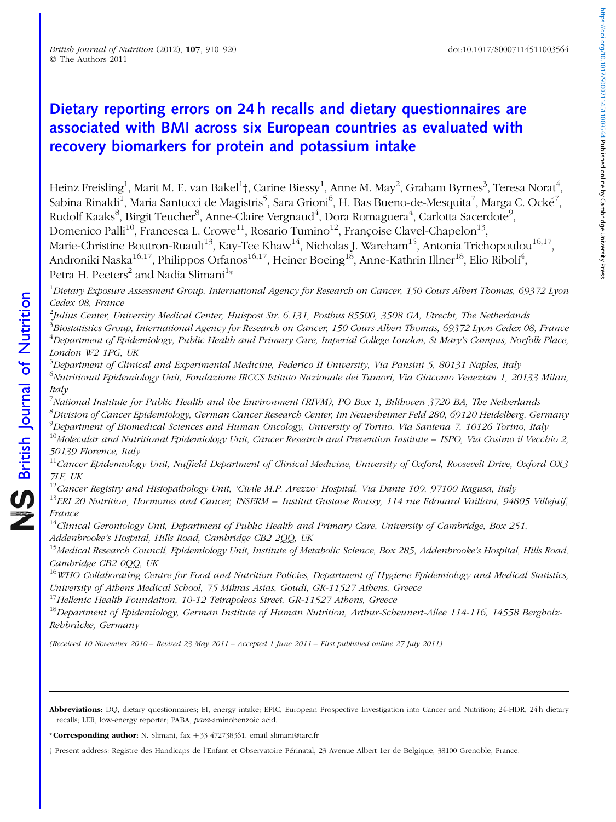# Dietary reporting errors on 24 h recalls and dietary questionnaires are associated with BMI across six European countries as evaluated with recovery biomarkers for protein and potassium intake

Heinz Freisling $^1$ , Marit M. E. van Bakel $^1$ †, Carine Biessy $^1$ , Anne M. May $^2$ , Graham Byrnes $^3$ , Teresa Norat $^4$ , Sabina Rinaldi $^{\rm l}$ , Maria Santucci de Magistris $^5$ , Sara Grioni $^6$ , H. Bas Bueno-de-Mesquita $^7$ , Marga C. Ocké $^7$ , Rudolf Kaaks $^8$ , Birgit Teucher $^8$ , Anne-Claire Vergnaud $^4$ , Dora Romaguera $^4$ , Carlotta Sacerdote $^9$ , Domenico Palli<sup>10</sup>, Francesca L. Crowe<sup>11</sup>, Rosario Tumino<sup>12</sup>, Françoise Clavel-Chapelon<sup>13</sup>, Marie-Christine Boutron-Ruault<sup>13</sup>, Kay-Tee Khaw<sup>14</sup>, Nicholas J. Wareham<sup>15</sup>, Antonia Trichopoulou<sup>16,17</sup>, Androniki Naska $^{16,17}$ , Philippos Orfanos $^{16,17}$ , Heiner Boeing $^{18}$ , Anne-Kathrin Illner $^{18}$ , Elio Riboli $^4$ , Petra H. Peeters<sup>2</sup> and Nadia Slimani<sup>1</sup>\*

<sup>1</sup>Dietary Exposure Assessment Group, International Agency for Research on Cancer, 150 Cours Albert Thomas, 69372 Lyon Cedex 08, France

 $^2$ Julius Center, University Medical Center, Huispost Str. 6.131, Postbus 85500, 3508 GA, Utrecht, The Netherlands <sup>3</sup>Biostatistics Group, International Agency for Research on Cancer, 150 Cours Albert Thomas, 69372 Lyon Cedex 08, France <sup>4</sup>Department of Epidemiology, Public Health and Primary Care, Imperial College London, St Mary's Campus, Norfolk Place, London W2 1PG, UK

<sup>5</sup>Department of Clinical and Experimental Medicine, Federico II University, Via Pansini 5, 80131 Naples, Italy <sup>6</sup>Nutritional Epidemiology Unit, Fondazione IRCCS Istituto Nazionale dei Tumori, Via Giacomo Venezian 1, 20133 Milan, Italy

<sup>7</sup>National Institute for Public Health and the Environment (RIVM), PO Box 1, Bilthoven 3720 BA, The Netherlands <sup>8</sup>Division of Cancer Epidemiology, German Cancer Research Center, Im Neuenheimer Feld 280, 69120 Heidelberg, Germany <sup>9</sup>Department of Biomedical Sciences and Human Oncology, University of Torino, Via Santena 7, 10126 Torino, Italy

 $10$ Molecular and Nutritional Epidemiology Unit, Cancer Research and Prevention Institute – ISPO, Via Cosimo il Vecchio 2, 50139 Florence, Italy

 $11$ Cancer Epidemiology Unit, Nuffield Department of Clinical Medicine, University of Oxford, Roosevelt Drive, Oxford OX3 7LF, UK

<sup>12</sup>Cancer Registry and Histopathology Unit, 'Civile M.P. Arezzo' Hospital, Via Dante 109, 97100 Ragusa, Italy  $13$ ERI 20 Nutrition, Hormones and Cancer, INSERM – Institut Gustave Roussy, 114 rue Edouard Vaillant, 94805 Villejuif, France

 $14$ Clinical Gerontology Unit, Department of Public Health and Primary Care, University of Cambridge, Box 251, Addenbrooke's Hospital, Hills Road, Cambridge CB2 2QQ, UK

<sup>15</sup>Medical Research Council, Epidemiology Unit, Institute of Metabolic Science, Box 285, Addenbrooke's Hospital, Hills Road, Cambridge CB2 0QQ, UK

 $16$ WHO Collaborating Centre for Food and Nutrition Policies, Department of Hygiene Epidemiology and Medical Statistics, University of Athens Medical School, 75 Mikras Asias, Goudi, GR-11527 Athens, Greece

<sup>17</sup>Hellenic Health Foundation, 10-12 Tetrapoleos Street, GR-11527 Athens, Greece

 $18$ Department of Epidemiology, German Institute of Human Nutrition, Arthur-Scheunert-Allee 114-116, 14558 Bergholz-Rehbrücke, Germany

(Received 10 November 2010 – Revised 23 May 2011 – Accepted 1 June 2011 – First published online 27 July 2011)

Abbreviations: DQ, dietary questionnaires; EI, energy intake; EPIC, European Prospective Investigation into Cancer and Nutrition; 24-HDR, 24h dietary recalls; LER, low-energy reporter; PABA, para-aminobenzoic acid.

\* Corresponding author: N. Slimani, fax  $+33$  472738361, email slimani@iarc.fr

† Present address: Registre des Handicaps de l'Enfant et Observatoire Pe´rinatal, 23 Avenue Albert 1er de Belgique, 38100 Grenoble, France.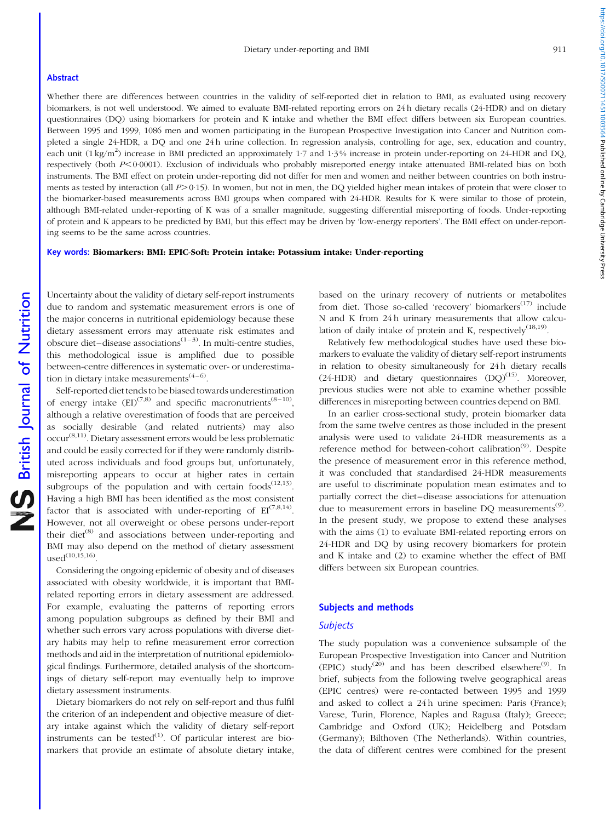#### Abstract

Whether there are differences between countries in the validity of self-reported diet in relation to BMI, as evaluated using recovery biomarkers, is not well understood. We aimed to evaluate BMI-related reporting errors on 24 h dietary recalls (24-HDR) and on dietary questionnaires (DQ) using biomarkers for protein and K intake and whether the BMI effect differs between six European countries. Between 1995 and 1999, 1086 men and women participating in the European Prospective Investigation into Cancer and Nutrition completed a single 24-HDR, a DQ and one 24 h urine collection. In regression analysis, controlling for age, sex, education and country, each unit (1 kg/m<sup>2</sup>) increase in BMI predicted an approximately 1<sup>-7</sup> and 1<sup>-3</sup>% increase in protein under-reporting on 24-HDR and DQ, respectively (both P<0.0001). Exclusion of individuals who probably misreported energy intake attenuated BMI-related bias on both instruments. The BMI effect on protein under-reporting did not differ for men and women and neither between countries on both instruments as tested by interaction (all  $P > 0.15$ ). In women, but not in men, the DQ yielded higher mean intakes of protein that were closer to the biomarker-based measurements across BMI groups when compared with 24-HDR. Results for K were similar to those of protein, although BMI-related under-reporting of K was of a smaller magnitude, suggesting differential misreporting of foods. Under-reporting of protein and K appears to be predicted by BMI, but this effect may be driven by 'low-energy reporters'. The BMI effect on under-reporting seems to be the same across countries.

# Key words: Biomarkers: BMI: EPIC-Soft: Protein intake: Potassium intake: Under-reporting

Uncertainty about the validity of dietary self-report instruments due to random and systematic measurement errors is one of the major concerns in nutritional epidemiology because these dietary assessment errors may attenuate risk estimates and obscure diet–disease associations<sup> $(1-3)$ </sup>. In multi-centre studies, this methodological issue is amplified due to possible between-centre differences in systematic over- or underestimation in dietary intake measurements<sup> $(4-6)$ </sup>.

Self-reported diet tends to be biased towards underestimation of energy intake  $(EI)^{(7,8)}$  and specific macronutrients<sup>(8–10)</sup>, although a relative overestimation of foods that are perceived as socially desirable (and related nutrients) may also  $\mathrm{occur}^{(8,11)}$ . Dietary assessment errors would be less problematic and could be easily corrected for if they were randomly distributed across individuals and food groups but, unfortunately, misreporting appears to occur at higher rates in certain subgroups of the population and with certain foods $(12,13)$ . Having a high BMI has been identified as the most consistent factor that is associated with under-reporting of  $EI^{(7,8,14)}$ . However, not all overweight or obese persons under-report their diet<sup>(8)</sup> and associations between under-reporting and BMI may also depend on the method of dietary assessment  $used^{(10,15,16)}$ 

Considering the ongoing epidemic of obesity and of diseases associated with obesity worldwide, it is important that BMIrelated reporting errors in dietary assessment are addressed. For example, evaluating the patterns of reporting errors among population subgroups as defined by their BMI and whether such errors vary across populations with diverse dietary habits may help to refine measurement error correction methods and aid in the interpretation of nutritional epidemiological findings. Furthermore, detailed analysis of the shortcomings of dietary self-report may eventually help to improve dietary assessment instruments.

Dietary biomarkers do not rely on self-report and thus fulfil the criterion of an independent and objective measure of dietary intake against which the validity of dietary self-report instruments can be tested $^{(1)}$ . Of particular interest are biomarkers that provide an estimate of absolute dietary intake,

based on the urinary recovery of nutrients or metabolites from diet. Those so-called 'recovery' biomarkers<sup> $(17)$ </sup> include N and K from 24 h urinary measurements that allow calculation of daily intake of protein and K, respectively<sup>(18,19)</sup>.

Relatively few methodological studies have used these biomarkers to evaluate the validity of dietary self-report instruments in relation to obesity simultaneously for 24h dietary recalls  $(24-HDR)$  and dietary questionnaires  $(DO)^{(15)}$ . Moreover, previous studies were not able to examine whether possible differences in misreporting between countries depend on BMI.

In an earlier cross-sectional study, protein biomarker data from the same twelve centres as those included in the present analysis were used to validate 24-HDR measurements as a reference method for between-cohort calibration<sup>(9)</sup>. Despite the presence of measurement error in this reference method, it was concluded that standardised 24-HDR measurements are useful to discriminate population mean estimates and to partially correct the diet–disease associations for attenuation due to measurement errors in baseline DQ measurements<sup>(9)</sup>. In the present study, we propose to extend these analyses with the aims (1) to evaluate BMI-related reporting errors on 24-HDR and DQ by using recovery biomarkers for protein and K intake and (2) to examine whether the effect of BMI differs between six European countries.

#### Subjects and methods

#### **Subjects**

The study population was a convenience subsample of the European Prospective Investigation into Cancer and Nutrition (EPIC) study<sup>(20)</sup> and has been described elsewhere<sup>(9)</sup>. In brief, subjects from the following twelve geographical areas (EPIC centres) were re-contacted between 1995 and 1999 and asked to collect a 24 h urine specimen: Paris (France); Varese, Turin, Florence, Naples and Ragusa (Italy); Greece; Cambridge and Oxford (UK); Heidelberg and Potsdam (Germany); Bilthoven (The Netherlands). Within countries, the data of different centres were combined for the present

https://doi.org/10.1017/S0007114511003564 Published online by Cambridge University Press https://doi.org/10.1017/S0007114511003564 Published online by Cambridge University Press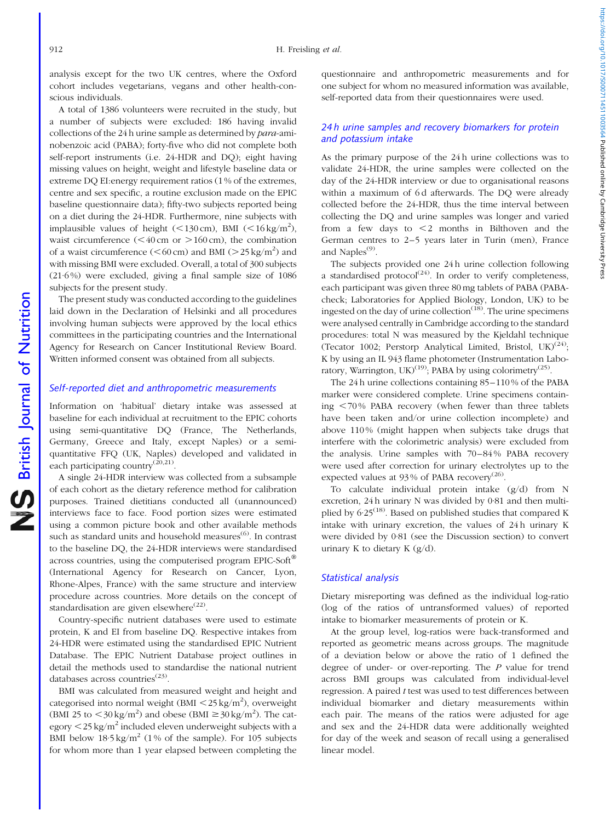analysis except for the two UK centres, where the Oxford cohort includes vegetarians, vegans and other health-conscious individuals.

A total of 1386 volunteers were recruited in the study, but a number of subjects were excluded: 186 having invalid collections of the 24 h urine sample as determined by para-aminobenzoic acid (PABA); forty-five who did not complete both self-report instruments (i.e. 24-HDR and DQ); eight having missing values on height, weight and lifestyle baseline data or extreme DQ EI:energy requirement ratios (1 % of the extremes, centre and sex specific, a routine exclusion made on the EPIC baseline questionnaire data); fifty-two subjects reported being on a diet during the 24-HDR. Furthermore, nine subjects with implausible values of height (<130 cm), BMI (<16 kg/m<sup>2</sup>), waist circumference  $(< 40 \text{ cm or } > 160 \text{ cm})$ , the combination of a waist circumference  $(<\!60 \text{ cm})$  and BMI  $(>25 \text{ kg/m}^2)$  and with missing BMI were excluded. Overall, a total of 300 subjects (21·6 %) were excluded, giving a final sample size of 1086 subjects for the present study.

The present study was conducted according to the guidelines laid down in the Declaration of Helsinki and all procedures involving human subjects were approved by the local ethics committees in the participating countries and the International Agency for Research on Cancer Institutional Review Board. Written informed consent was obtained from all subjects.

### Self-reported diet and anthropometric measurements

Information on 'habitual' dietary intake was assessed at baseline for each individual at recruitment to the EPIC cohorts using semi-quantitative DQ (France, The Netherlands, Germany, Greece and Italy, except Naples) or a semiquantitative FFQ (UK, Naples) developed and validated in each participating country ${}^{(20,21)}$ .

A single 24-HDR interview was collected from a subsample of each cohort as the dietary reference method for calibration purposes. Trained dietitians conducted all (unannounced) interviews face to face. Food portion sizes were estimated using a common picture book and other available methods such as standard units and household measures<sup>(6)</sup>. In contrast to the baseline DQ, the 24-HDR interviews were standardised across countries, using the computerised program EPIC-Soft $^{\circledR}$ (International Agency for Research on Cancer, Lyon, Rhone-Alpes, France) with the same structure and interview procedure across countries. More details on the concept of standardisation are given elsewhere<sup>(22)</sup>.

Country-specific nutrient databases were used to estimate protein, K and EI from baseline DQ. Respective intakes from 24-HDR were estimated using the standardised EPIC Nutrient Database. The EPIC Nutrient Database project outlines in detail the methods used to standardise the national nutrient databases across countries<sup>(23)</sup>.

BMI was calculated from measured weight and height and categorised into normal weight  $(BMI < 25 \text{ kg/m}^2)$ , overweight (BMI 25 to  $\langle 30 \text{ kg/m}^2 \rangle$  and obese (BMI  $\geq 30 \text{ kg/m}^2$ ). The category  $\langle 25 \text{ kg/m}^2$  included eleven underweight subjects with a BMI below  $18.5 \text{ kg/m}^2$  (1% of the sample). For 105 subjects for whom more than 1 year elapsed between completing the

questionnaire and anthropometric measurements and for one subject for whom no measured information was available, self-reported data from their questionnaires were used.

# 24 h urine samples and recovery biomarkers for protein and potassium intake

As the primary purpose of the 24 h urine collections was to validate 24-HDR, the urine samples were collected on the day of the 24-HDR interview or due to organisational reasons within a maximum of 6d afterwards. The DQ were already collected before the 24-HDR, thus the time interval between collecting the DQ and urine samples was longer and varied from a few days to  $\leq$  months in Bilthoven and the German centres to 2–5 years later in Turin (men), France and Naples $<sup>(9)</sup>$ .</sup>

The subjects provided one 24 h urine collection following a standardised protocol<sup> $(24)$ </sup>. In order to verify completeness, each participant was given three 80 mg tablets of PABA (PABAcheck; Laboratories for Applied Biology, London, UK) to be ingested on the day of urine collection $(18)$ . The urine specimens were analysed centrally in Cambridge according to the standard procedures: total N was measured by the Kjeldahl technique (Tecator 1002; Perstorp Analytical Limited, Bristol,  $UK)^{(24)}$ ; K by using an IL 943 flame photometer (Instrumentation Laboratory, Warrington, UK $^{(19)}$ : PABA by using colorimetry<sup>(25)</sup>.

The 24 h urine collections containing 85–110 % of the PABA marker were considered complete. Urine specimens containing  $<$  70% PABA recovery (when fewer than three tablets have been taken and/or urine collection incomplete) and above 110 % (might happen when subjects take drugs that interfere with the colorimetric analysis) were excluded from the analysis. Urine samples with 70–84 % PABA recovery were used after correction for urinary electrolytes up to the expected values at 93% of PABA recovery<sup>(26)</sup>.

To calculate individual protein intake (g/d) from N excretion, 24 h urinary N was divided by 0·81 and then multiplied by  $6.25^{(18)}$ . Based on published studies that compared K intake with urinary excretion, the values of 24 h urinary K were divided by 0·81 (see the Discussion section) to convert urinary K to dietary K (g/d).

## Statistical analysis

Dietary misreporting was defined as the individual log-ratio (log of the ratios of untransformed values) of reported intake to biomarker measurements of protein or K.

At the group level, log-ratios were back-transformed and reported as geometric means across groups. The magnitude of a deviation below or above the ratio of 1 defined the degree of under- or over-reporting. The P value for trend across BMI groups was calculated from individual-level regression. A paired t test was used to test differences between individual biomarker and dietary measurements within each pair. The means of the ratios were adjusted for age and sex and the 24-HDR data were additionally weighted for day of the week and season of recall using a generalised linear model.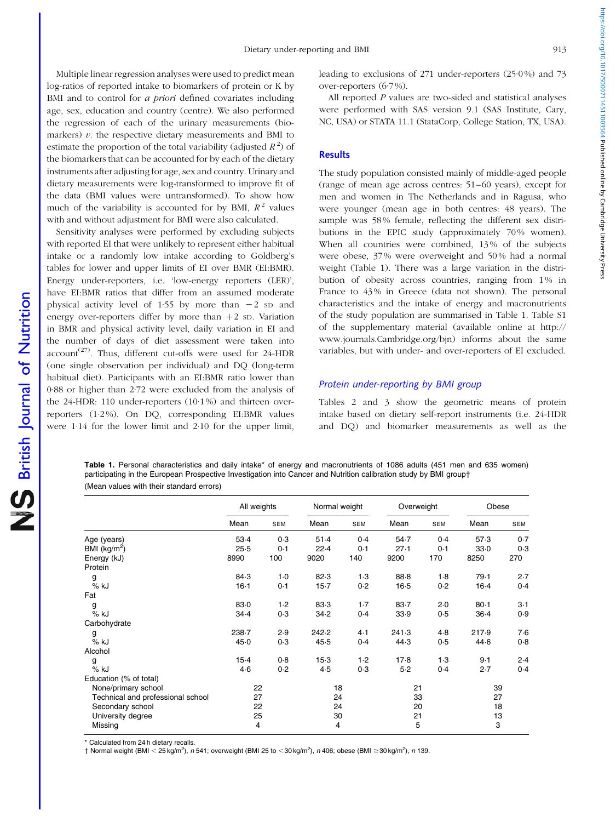Multiple linear regression analyses were used to predict mean log-ratios of reported intake to biomarkers of protein or K by BMI and to control for *a priori* defined covariates including age, sex, education and country (centre). We also performed the regression of each of the urinary measurements (biomarkers)  $v$ . the respective dietary measurements and BMI to estimate the proportion of the total variability (adjusted  $R^2$ ) of the biomarkers that can be accounted for by each of the dietary instruments after adjusting for age, sex and country. Urinary and dietary measurements were log-transformed to improve fit of the data (BMI values were untransformed). To show how much of the variability is accounted for by BMI,  $R^2$  values with and without adjustment for BMI were also calculated.

Sensitivity analyses were performed by excluding subjects with reported EI that were unlikely to represent either habitual intake or a randomly low intake according to Goldberg's tables for lower and upper limits of EI over BMR (EI:BMR). Energy under-reporters, i.e. 'low-energy reporters (LER)', have EI:BMR ratios that differ from an assumed moderate physical activity level of 1.55 by more than  $-2$  sp and energy over-reporters differ by more than  $+2$  sp. Variation in BMR and physical activity level, daily variation in EI and the number of days of diet assessment were taken into account<sup>(27)</sup>. Thus, different cut-offs were used for 24-HDR (one single observation per individual) and DQ (long-term habitual diet). Participants with an EI:BMR ratio lower than 0·88 or higher than 2·72 were excluded from the analysis of the 24-HDR: 110 under-reporters (10·1 %) and thirteen overreporters (1·2 %). On DQ, corresponding EI:BMR values were 1·14 for the lower limit and 2·10 for the upper limit,

British Journal of Nutrition

NS British Journal of Nutrition

leading to exclusions of 271 under-reporters (25·0 %) and 73 over-reporters  $(6.7\%)$ .

All reported P values are two-sided and statistical analyses were performed with SAS version 9.1 (SAS Institute, Cary, NC, USA) or STATA 11.1 (StataCorp, College Station, TX, USA).

#### **Results**

The study population consisted mainly of middle-aged people (range of mean age across centres: 51–60 years), except for men and women in The Netherlands and in Ragusa, who were younger (mean age in both centres: 48 years). The sample was 58% female, reflecting the different sex distributions in the EPIC study (approximately 70% women). When all countries were combined, 13% of the subjects were obese, 37 % were overweight and 50 % had a normal weight (Table 1). There was a large variation in the distribution of obesity across countries, ranging from 1% in France to 43% in Greece (data not shown). The personal characteristics and the intake of energy and macronutrients of the study population are summarised in Table 1. Table S1 of the supplementary material (available online at http:// www.journals.Cambridge.org/bjn) informs about the same variables, but with under- and over-reporters of EI excluded.

# Protein under-reporting by BMI group

[Tables 2 and 3](#page-4-0) show the geometric means of protein intake based on dietary self-report instruments (i.e. 24-HDR and DQ) and biomarker measurements as well as the

Table 1. Personal characteristics and daily intake\* of energy and macronutrients of 1086 adults (451 men and 635 women) participating in the European Prospective Investigation into Cancer and Nutrition calibration study by BMI group† (Mean values with their standard errors)

|                                   | All weights |            |        | Normal weight |        | Overweight | Obese    |            |
|-----------------------------------|-------------|------------|--------|---------------|--------|------------|----------|------------|
|                                   | Mean        | <b>SEM</b> | Mean   | SEM           | Mean   | <b>SEM</b> | Mean     | <b>SEM</b> |
| Age (years)                       | $53-4$      | 0.3        | $51-4$ | 0.4           | 54.7   | 0.4        | 57.3     | 0.7        |
| BMI $(kg/m2)$                     | 25.5        | 0.1        | 22.4   | 0.1           | 27.1   | 0.1        | 33.0     | 0.3        |
| Energy (kJ)                       | 8990        | 100        | 9020   | 140           | 9200   | 170        | 8250     | 270        |
| Protein                           |             |            |        |               |        |            |          |            |
| g                                 | 84.3        | $1-0$      | 82.3   | $1-3$         | 88.8   | $1-8$      | 79.1     | 2.7        |
| % kJ                              | $16-1$      | 0.1        | $15-7$ | 0.2           | $16-5$ | 0.2        | $16-4$   | 0.4        |
| Fat                               |             |            |        |               |        |            |          |            |
| g                                 | 83.0        | 1.2        | 83.3   | $1-7$         | 83.7   | 2.0        | $80 - 1$ | $3-1$      |
| $%$ kJ                            | 34.4        | 0.3        | 34.2   | 0.4           | 33.9   | 0.5        | $36-4$   | 0.9        |
| Carbohydrate                      |             |            |        |               |        |            |          |            |
| g                                 | 238.7       | 2.9        | 242.2  | 4.1           | 241.3  | 4.8        | 217.9    | 7.6        |
| % kJ                              | 45.0        | 0.3        | 45.5   | 0.4           | 44.3   | 0.5        | 44.6     | 0.8        |
| Alcohol                           |             |            |        |               |        |            |          |            |
| g                                 | $15-4$      | 0.8        | $15-3$ | 1.2           | 17.8   | 1.3        | $9 - 1$  | 2.4        |
| % kJ                              | $4-6$       | 0.2        | 4.5    | 0.3           | $5-2$  | 0.4        | 2.7      | 0.4        |
| Education (% of total)            |             |            |        |               |        |            |          |            |
| None/primary school               | 22          |            | 18     |               | 21     |            | 39       |            |
| Technical and professional school | 27          |            | 24     |               | 33     |            | 27       |            |
| Secondary school                  | 22          |            | 24     |               | 20     |            | 18       |            |
| University degree                 | 25          |            | 30     |               | 21     |            | 13       |            |
| Missing                           | 4           |            | 4      |               | 5      |            | 3        |            |

Calculated from 24 h dietary recalls.

† Normal weight (BMI < 25 kg/m<sup>2</sup>), n 541; overweight (BMI 25 to < 30 kg/m<sup>2</sup>), n 406; obese (BMI ≥30 kg/m<sup>2</sup>), n 139.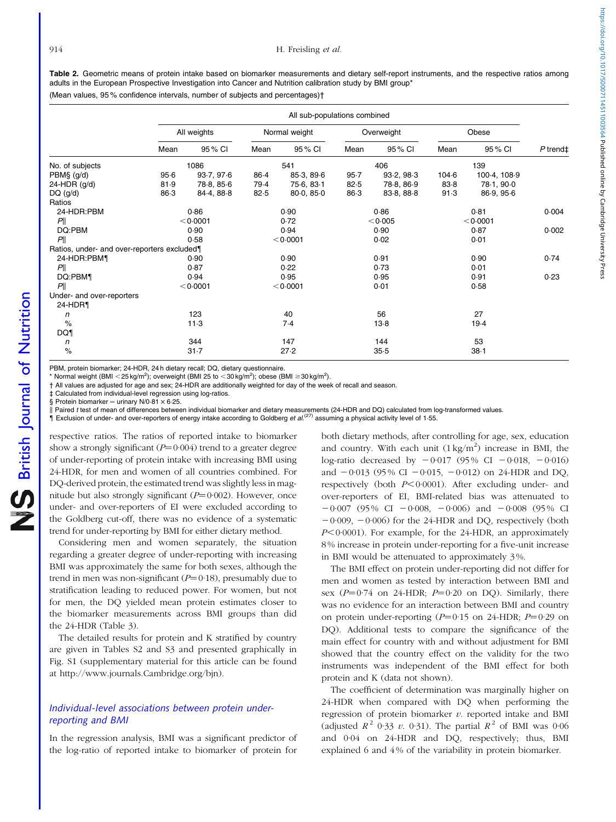<span id="page-4-0"></span>Table 2. Geometric means of protein intake based on biomarker measurements and dietary self-report instruments, and the respective ratios among adults in the European Prospective Investigation into Cancer and Nutrition calibration study by BMI group\*

(Mean values, 95 % confidence intervals, number of subjects and percentages)†

|                                             |          |             |          | All sub-populations combined |            |            |           |              |                      |
|---------------------------------------------|----------|-------------|----------|------------------------------|------------|------------|-----------|--------------|----------------------|
|                                             |          | All weights |          | Normal weight                | Overweight |            | Obese     |              |                      |
|                                             | Mean     | 95 % CI     | Mean     | 95 % CI                      | Mean       | 95 % CI    | Mean      | 95 % CI      | $P$ trend $\ddagger$ |
| No. of subjects                             |          | 1086        |          | 541                          |            | 406        |           | 139          |                      |
| PBM§ (g/d)                                  | $95 - 6$ | 93.7, 97.6  | 86.4     | 85-3, 89-6                   | $95 - 7$   | 93.2, 98.3 | $104 - 6$ | 100-4, 108-9 |                      |
| 24-HDR (g/d)                                | 81.9     | 78-8, 85-6  | 79.4     | 75.6, 83.1                   | 82.5       | 78-8, 86-9 | $83 - 8$  | 78-1, 90-0   |                      |
| $DQ$ (g/d)                                  | 86.3     | 84-4, 88-8  | 82.5     | 80.0, 85.0                   | $86-3$     | 83-8, 88-8 | 91.3      | 86.9, 95.6   |                      |
| Ratios                                      |          |             |          |                              |            |            |           |              |                      |
| 24-HDR:PBM                                  | 0.86     |             |          | 0.86<br>0.90                 |            |            | 0.004     |              |                      |
| P                                           |          | < 0.0001    |          | 0.72                         |            | < 0.005    |           | < 0.0001     |                      |
| DQ:PBM                                      |          | 0.90        | 0.94     |                              | 0.90       |            | 0.87      |              | 0.002                |
| P                                           |          | 0.58        | < 0.0001 |                              | 0.02       |            | 0.01      |              |                      |
| Ratios, under- and over-reporters excluded¶ |          |             |          |                              |            |            |           |              |                      |
| 24-HDR:PBM                                  |          | 0.90        |          | 0.90                         |            | 0.91       |           | 0.90         | 0.74                 |
| P                                           |          | 0.87        |          | 0.22                         |            | 0.73       |           | 0.01         |                      |
| DQ:PBM1                                     |          | 0.94        |          | 0.95                         |            | 0.95       |           | 0.91         | 0.23                 |
| P                                           |          | < 0.0001    |          | < 0.0001                     |            | 0.01       |           | 0.58         |                      |
| Under- and over-reporters                   |          |             |          |                              |            |            |           |              |                      |
| 24-HDR1                                     |          |             |          |                              |            |            |           |              |                      |
| n                                           |          | 123         |          | 40                           | 56         |            | 27        |              |                      |
| $\%$                                        |          | 11.3        |          | 7.4                          |            | $13-8$     |           | $19-4$       |                      |
| DQ1                                         |          |             |          |                              |            |            |           |              |                      |
| n                                           |          | 344         |          | 147                          | 144        |            | 53        |              |                      |
| $\%$                                        |          | $31 - 7$    |          | 27.2                         |            | 35.5       |           | $38 - 1$     |                      |

PBM, protein biomarker; 24-HDR, 24 h dietary recall; DQ, dietary questionnaire.

\* Normal weight (BMI < 25 kg/m<sup>2</sup>); overweight (BMI 25 to < 30 kg/m<sup>2</sup>); obese (BMI ≥ 30 kg/m<sup>2</sup>).

† All values are adjusted for age and sex; 24-HDR are additionally weighted for day of the week of recall and season.

‡ Calculated from individual-level regression using log-ratios.

§ Protein biomarker = urinary  $N/0.81 \times 6.25$ 

Faired t test of mean of differences between individual biomarker and dietary measurements (24-HDR and DQ) calculated from log-transformed values.

{ Exclusion of under- and over-reporters of energy intake according to Goldberg et al.(27) assuming a physical activity level of 1·55.

respective ratios. The ratios of reported intake to biomarker show a strongly significant  $(P=0.004)$  trend to a greater degree of under-reporting of protein intake with increasing BMI using 24-HDR, for men and women of all countries combined. For DQ-derived protein, the estimated trend was slightly less in magnitude but also strongly significant  $(P=0.002)$ . However, once under- and over-reporters of EI were excluded according to the Goldberg cut-off, there was no evidence of a systematic trend for under-reporting by BMI for either dietary method.

Considering men and women separately, the situation regarding a greater degree of under-reporting with increasing BMI was approximately the same for both sexes, although the trend in men was non-significant ( $P=0.18$ ), presumably due to stratification leading to reduced power. For women, but not for men, the DQ yielded mean protein estimates closer to the biomarker measurements across BMI groups than did the 24-HDR ([Table 3\)](#page-5-0).

The detailed results for protein and K stratified by country are given in Tables S2 and S3 and presented graphically in Fig. S1 (supplementary material for this article can be found at http://www.journals.Cambridge.org/bjn).

# Individual-level associations between protein underreporting and BMI

In the regression analysis, BMI was a significant predictor of the log-ratio of reported intake to biomarker of protein for

both dietary methods, after controlling for age, sex, education and country. With each unit  $(1\,\text{kg/m}^2)$  increase in BMI, the log-ratio decreased by  $-0.017$  (95% CI  $-0.018$ ,  $-0.016$ ) and  $-0.013$  (95% CI  $-0.015$ ,  $-0.012$ ) on 24-HDR and DQ, respectively (both  $P<0.0001$ ). After excluding under- and over-reporters of EI, BMI-related bias was attenuated to  $-0.007$  (95% CI  $-0.008$ ,  $-0.006$ ) and  $-0.008$  (95% CI  $-0.009$ ,  $-0.006$ ) for the 24-HDR and DQ, respectively (both  $P<0.0001$ ). For example, for the 24-HDR, an approximately 8 % increase in protein under-reporting for a five-unit increase in BMI would be attenuated to approximately 3 %.

The BMI effect on protein under-reporting did not differ for men and women as tested by interaction between BMI and sex ( $P=0.74$  on 24-HDR;  $P=0.20$  on DQ). Similarly, there was no evidence for an interaction between BMI and country on protein under-reporting ( $P=0.15$  on 24-HDR;  $P=0.29$  on DQ). Additional tests to compare the significance of the main effect for country with and without adjustment for BMI showed that the country effect on the validity for the two instruments was independent of the BMI effect for both protein and K (data not shown).

The coefficient of determination was marginally higher on 24-HDR when compared with DQ when performing the regression of protein biomarker  $v$ . reported intake and BMI (adjusted  $R^2$  0.33 v. 0.31). The partial  $R^2$  of BMI was 0.06 and 0·04 on 24-HDR and DQ, respectively; thus, BMI explained 6 and 4 % of the variability in protein biomarker.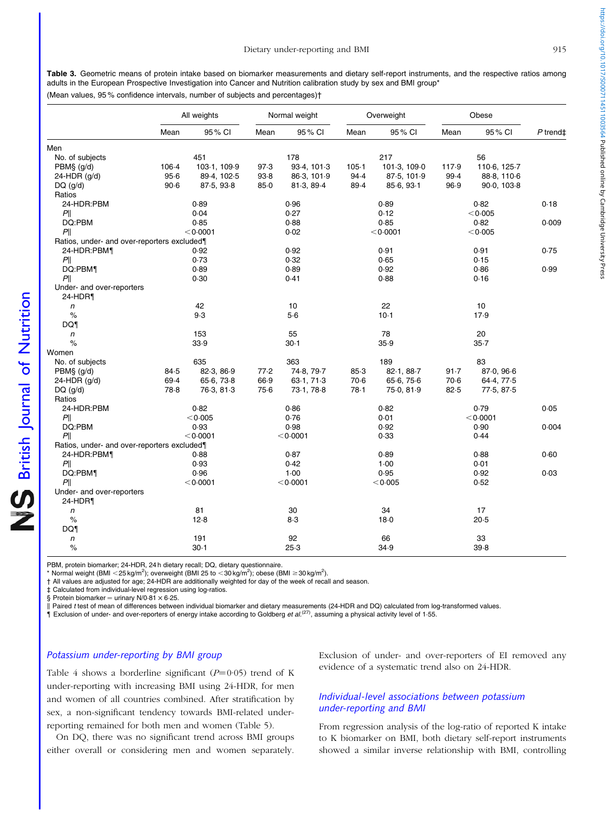<span id="page-5-0"></span>

|                                             |           | All weights  |          | Normal weight |           | Overweight   |        | Obese        |            |
|---------------------------------------------|-----------|--------------|----------|---------------|-----------|--------------|--------|--------------|------------|
|                                             | Mean      | 95% CI       | Mean     | 95 % CI       | Mean      | 95 % CI      | Mean   | 95% CI       | $P$ trend‡ |
| Men                                         |           |              |          |               |           |              |        |              |            |
| No. of subjects                             |           | 451          |          | 178           |           | 217          |        | 56           |            |
| $PBM$$ (g/d)                                | $106 - 4$ | 103-1, 109-9 | 97.3     | 93-4, 101-3   | $105 - 1$ | 101-3, 109-0 | 117.9  | 110-6, 125-7 |            |
| 24-HDR $(g/d)$                              | $95 - 6$  | 89-4, 102-5  | $93 - 8$ | 86-3, 101-9   | 94.4      | 87-5, 101-9  | 99.4   | 88-8, 110-6  |            |
| $DQ$ (g/d)                                  | $90-6$    | 87-5, 93-8   | $85-0$   | 81-3, 89-4    | 89.4      | 85.6, 93.1   | 96.9   | 90-0, 103-8  |            |
| Ratios                                      |           |              |          |               |           |              |        |              |            |
| 24-HDR:PBM                                  |           | 0.89         |          | 0.96          |           | 0.89         |        | 0.82         | 0.18       |
| P                                           |           | 0.04         |          | 0.27          |           | 0.12         |        | < 0.005      |            |
| DQ:PBM                                      |           | 0.85         |          | 0.88          |           | 0.85         |        | 0.82         | 0.009      |
| P                                           |           | < 0.0001     |          | 0.02          |           | < 0.0001     |        | < 0.005      |            |
| Ratios, under- and over-reporters excluded¶ |           |              |          |               |           |              |        |              |            |
| 24-HDR:PBM1                                 |           | 0.92         |          | 0.92          |           | 0.91         |        | 0.91         | 0.75       |
| $P\ $                                       |           | 0.73         |          | 0.32          |           | 0.65         |        | 0.15         |            |
|                                             |           |              |          |               |           |              |        |              |            |
| DQ:PBM¶                                     |           | 0.89<br>0.30 |          | 0.89<br>0.41  |           | 0.92<br>0.88 |        | 0.86<br>0.16 | 0.99       |
| $P\ $                                       |           |              |          |               |           |              |        |              |            |
| Under- and over-reporters                   |           |              |          |               |           |              |        |              |            |
| 24-HDR1                                     |           |              |          |               |           |              |        |              |            |
| $\sqrt{n}$                                  |           | 42           |          | 10            |           | 22           |        | 10           |            |
| $\%$                                        |           | 9.3          |          | 5.6           |           | $10-1$       |        | 17.9         |            |
| DQ1                                         |           |              |          |               |           |              |        |              |            |
| $\sqrt{n}$                                  |           | 153          |          | 55            |           | 78           |        | 20           |            |
| $\%$                                        |           | 33.9         |          | $30-1$        |           | 35.9         |        | $35 - 7$     |            |
| Women                                       |           |              |          |               |           |              |        |              |            |
| No. of subjects                             |           | 635          |          | 363           |           | 189          |        | 83           |            |
| $PBM\$ $(g/d)$                              | 84.5      | 82-3, 86-9   | 77.2     | 74-8, 79-7    | 85.3      | 82-1, 88-7   | 91.7   | 87.0, 96.6   |            |
| $24-HDR$ (g/d)                              | 69.4      | 65.6, 73.8   | 66.9     | 63.1, 71.3    | $70-6$    | 65.6, 75.6   | $70-6$ | 64-4, 77-5   |            |
| $DQ$ ( $g/d$ )                              | 78-8      | 76-3, 81-3   | 75.6     | 73-1, 78-8    | 78.1      | 75-0, 81-9   | 82.5   | 77-5, 87-5   |            |
| Ratios                                      |           |              |          |               |           |              |        |              |            |
| 24-HDR:PBM                                  |           | 0.82         |          | 0.86          |           | 0.82         |        | 0.79         | 0.05       |
| P                                           |           | < 0.005      |          | 0.76          |           | 0.01         |        | < 0.0001     |            |
| DQ:PBM                                      |           | 0.93         |          | 0.98          |           | 0.92         |        | 0.90         | 0.004      |
| P                                           |           | < 0.0001     |          | < 0.0001      |           | 0.33         |        | 0.44         |            |
| Ratios, under- and over-reporters excluded  |           |              |          |               |           |              |        |              |            |
| 24-HDR:PBM¶                                 |           | 0.88         |          | 0.87          |           | 0.89         |        | 0.88         | 0.60       |
| P                                           |           | 0.93         |          | 0.42          |           | $1-00$       |        | 0.01         |            |
| DQ:PBM¶                                     |           | 0.96         |          | $1-00$        |           | 0.95         |        | 0.92         | 0.03       |
| P                                           |           | < 0.0001     |          | < 0.0001      |           | < 0.005      |        | 0.52         |            |
| Under- and over-reporters                   |           |              |          |               |           |              |        |              |            |
| 24-HDR¶                                     |           |              |          |               |           |              |        |              |            |
| n                                           |           | 81           |          | 30            |           | 34           |        | 17           |            |
| $\%$                                        |           | 12.8         |          | $8-3$         |           | $18-0$       |        | 20.5         |            |
| DQ1                                         |           |              |          |               |           |              |        |              |            |
| $\sqrt{n}$                                  |           | 191          |          | 92            |           | 66           |        | 33           |            |
| $\%$                                        |           | $30-1$       |          | $25-3$        |           | 34.9         |        | 39.8         |            |
|                                             |           |              |          |               |           |              |        |              |            |

PBM, protein biomarker; 24-HDR, 24 h dietary recall; DQ, dietary questionnaire.

\* Normal weight (BMI < 25 kg/m<sup>2</sup>); overweight (BMI 25 to < 30 kg/m<sup>2</sup>); obese (BMI ≥ 30 kg/m<sup>2</sup>).

† All values are adjusted for age; 24-HDR are additionally weighted for day of the week of recall and season.

‡ Calculated from individual-level regression using log-ratios.

§ Protein biomarker = urinary  $N/0.81 \times 6.25$ .

II Paired t test of mean of differences between individual biomarker and dietary measurements (24-HDR and DQ) calculated from log-transformed values.

{ Exclusion of under- and over-reporters of energy intake according to Goldberg et al.(27), assuming a physical activity level of 1·55.

#### Potassium under-reporting by BMI group

[Table 4](#page-6-0) shows a borderline significant ( $P=0.05$ ) trend of K under-reporting with increasing BMI using 24-HDR, for men and women of all countries combined. After stratification by sex, a non-significant tendency towards BMI-related underreporting remained for both men and women ([Table 5\)](#page-7-0).

On DQ, there was no significant trend across BMI groups either overall or considering men and women separately. Exclusion of under- and over-reporters of EI removed any evidence of a systematic trend also on 24-HDR.

# Individual-level associations between potassium under-reporting and BMI

From regression analysis of the log-ratio of reported K intake to K biomarker on BMI, both dietary self-report instruments showed a similar inverse relationship with BMI, controlling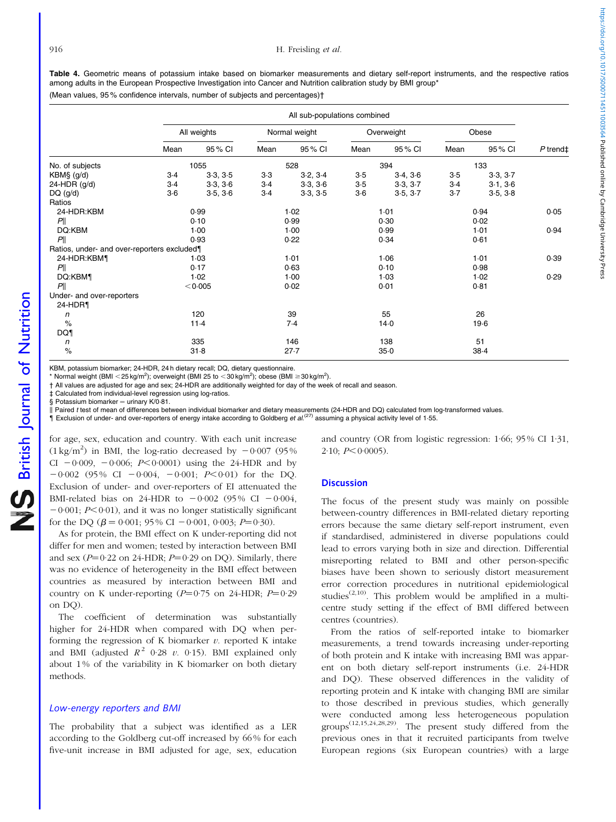<span id="page-6-0"></span>Table 4. Geometric means of potassium intake based on biomarker measurements and dietary self-report instruments, and the respective ratios among adults in the European Prospective Investigation into Cancer and Nutrition calibration study by BMI group\*

(Mean values, 95 % confidence intervals, number of subjects and percentages)†

|                                            |             |          |        | All sub-populations combined |       |            |       |          |                      |
|--------------------------------------------|-------------|----------|--------|------------------------------|-------|------------|-------|----------|----------------------|
|                                            | All weights |          |        | Normal weight                |       | Overweight | Obese |          |                      |
|                                            | Mean        | 95 % CI  | Mean   | 95% CI                       | Mean  | 95 % CI    | Mean  | 95 % CI  | $P$ trend $\ddagger$ |
| No. of subjects                            |             | 1055     |        | 528                          | 394   |            | 133   |          |                      |
| KBM§ (g/d)                                 | $3-4$       | 3.3, 3.5 | $3-3$  | 3.2, 3.4                     | $3-5$ | 3.4, 3.6   | $3-5$ | 3.3, 3.7 |                      |
| 24-HDR (g/d)                               | $3-4$       | 3.3, 3.6 | $3-4$  | 3.3, 3.6                     | $3-5$ | 3.3, 3.7   | $3-4$ | 3.1, 3.6 |                      |
| $DQ$ (g/d)                                 | $3-6$       | 3.5, 3.6 | $3-4$  | 3.3, 3.5                     | $3-6$ | 3.5, 3.7   | $3-7$ | 3.5, 3.8 |                      |
| Ratios                                     |             |          |        |                              |       |            |       |          |                      |
| 24-HDR:KBM                                 | 0.99        |          |        | 1.02<br>1.01                 |       | 0.94       |       | 0.05     |                      |
| P                                          |             | 0.10     | 0.99   |                              | 0.30  |            | 0.02  |          |                      |
| DQ:KBM                                     |             | $1-00$   | $1-00$ |                              | 0.99  |            | 1.01  |          | 0.94                 |
| P                                          |             | 0.93     |        | 0.22                         | 0.34  |            | 0.61  |          |                      |
| Ratios, under- and over-reporters excluded |             |          |        |                              |       |            |       |          |                      |
| 24-HDR:KBM                                 |             | $1-03$   |        | 1.01                         |       | 1.06       |       | 1.01     | 0.39                 |
| P                                          |             | 0.17     |        | 0.63                         |       | 0.10       |       | 0.98     |                      |
| DQ:KBM¶                                    |             | 1.02     |        | $1-00$                       |       | 1.03       |       | 1.02     | 0.29                 |
| P                                          |             | < 0.005  |        | 0.02                         |       | 0.01       |       | 0.81     |                      |
| Under- and over-reporters                  |             |          |        |                              |       |            |       |          |                      |
| 24-HDR¶                                    |             |          |        |                              |       |            |       |          |                      |
| n                                          |             | 120      |        | 39                           | 55    |            | 26    |          |                      |
| $\%$                                       |             | $11-4$   |        | 7.4                          |       | $14-0$     |       | $19-6$   |                      |
| DQ1                                        |             |          |        |                              |       |            |       |          |                      |
| n                                          |             | 335      |        | 146                          |       | 138        |       | 51       |                      |
| $\%$                                       |             | $31 - 8$ |        | 27.7                         |       | $35 - 0$   |       | $38-4$   |                      |

KBM, potassium biomarker; 24-HDR, 24 h dietary recall; DQ, dietary questionnaire.

\* Normal weight (BMI < 25 kg/m<sup>2</sup>); overweight (BMI 25 to < 30 kg/m<sup>2</sup>); obese (BMI ≥ 30 kg/m<sup>2</sup>).

† All values are adjusted for age and sex; 24-HDR are additionally weighted for day of the week of recall and season.

‡ Calculated from individual-level regression using log-ratios.

§ Potassium biomarker = urinary  $K/0.81$ .

k Paired t test of mean of differences between individual biomarker and dietary measurements (24-HDR and DQ) calculated from log-transformed values.

{ Exclusion of under- and over-reporters of energy intake according to Goldberg et al.(27) assuming a physical activity level of 1·55.

for age, sex, education and country. With each unit increase  $(1 \text{ kg/m}^2)$  in BMI, the log-ratio decreased by  $-0.007$  (95%) CI  $-0.009$ ,  $-0.006$ ;  $P<0.0001$ ) using the 24-HDR and by  $-0.002$  (95% CI  $-0.004$ ,  $-0.001$ ;  $P<0.01$ ) for the DO. Exclusion of under- and over-reporters of EI attenuated the BMI-related bias on 24-HDR to  $-0.002$  (95% CI  $-0.004$ ,  $-0.001$ :  $P \le 0.01$ ), and it was no longer statistically significant for the DQ ( $\beta$  = 0·001; 95 % CI - 0·001, 0·003; P=0·30).

As for protein, the BMI effect on K under-reporting did not differ for men and women; tested by interaction between BMI and sex ( $P=0.22$  on 24-HDR;  $P=0.29$  on DQ). Similarly, there was no evidence of heterogeneity in the BMI effect between countries as measured by interaction between BMI and country on K under-reporting  $(P=0.75$  on 24-HDR;  $P=0.29$ on  $DO$ ).

The coefficient of determination was substantially higher for 24-HDR when compared with DQ when performing the regression of K biomarker  $v$ . reported K intake and BMI (adjusted  $R^2$  0.28 v. 0.15). BMI explained only about 1% of the variability in K biomarker on both dietary methods.

## Low-energy reporters and BMI

The probability that a subject was identified as a LER according to the Goldberg cut-off increased by 66 % for each five-unit increase in BMI adjusted for age, sex, education and country (OR from logistic regression: 1·66; 95 % CI 1·31,  $2.10: P \leq 0.0005$ ).

#### **Discussion**

The focus of the present study was mainly on possible between-country differences in BMI-related dietary reporting errors because the same dietary self-report instrument, even if standardised, administered in diverse populations could lead to errors varying both in size and direction. Differential misreporting related to BMI and other person-specific biases have been shown to seriously distort measurement error correction procedures in nutritional epidemiological studies<sup> $(2,10)$ </sup>. This problem would be amplified in a multicentre study setting if the effect of BMI differed between centres (countries).

From the ratios of self-reported intake to biomarker measurements, a trend towards increasing under-reporting of both protein and K intake with increasing BMI was apparent on both dietary self-report instruments (i.e. 24-HDR and DQ). These observed differences in the validity of reporting protein and K intake with changing BMI are similar to those described in previous studies, which generally were conducted among less heterogeneous population groups<sup> $(12,15,24,28,29)$ </sup>. The present study differed from the previous ones in that it recruited participants from twelve European regions (six European countries) with a large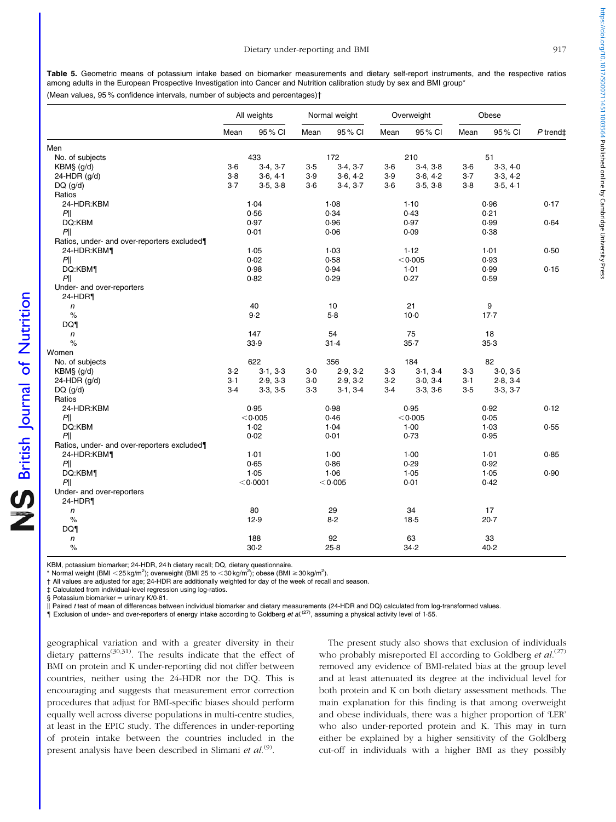<span id="page-7-0"></span>Table 5. Geometric means of potassium intake based on biomarker measurements and dietary self-report instruments, and the respective ratios among adults in the European Prospective Investigation into Cancer and Nutrition calibration study by sex and BMI group\*

(Mean values, 95 % confidence intervals, number of subjects and percentages)†

|                                             | All weights |          | Normal weight |          | Overweight |          | Obese |          |            |
|---------------------------------------------|-------------|----------|---------------|----------|------------|----------|-------|----------|------------|
|                                             | Mean        | 95% CI   | Mean          | 95 % CI  | Mean       | 95 % CI  | Mean  | 95% CI   | $P$ trend‡ |
| Men                                         |             |          |               |          |            |          |       |          |            |
| No. of subjects                             |             | 433      |               | 172      |            | 210      |       | 51       |            |
| KBM§ (g/d)                                  | $3-6$       | 3.4, 3.7 | $3-5$         | 3.4, 3.7 | $3-6$      | 3.4, 3.8 | $3-6$ | 3.3, 4.0 |            |
| $24-HDR$ (g/d)                              | $3-8$       | 3.6, 4.1 | 3.9           | 3.6, 4.2 | 3.9        | 3.6, 4.2 | $3-7$ | 3.3, 4.2 |            |
| $DQ$ ( $g/d$ )                              | $3-7$       | 3.5, 3.8 | $3-6$         | 3.4, 3.7 | $3-6$      | 3.5, 3.8 | $3-8$ | 3.5, 4.1 |            |
| Ratios                                      |             |          |               |          |            |          |       |          |            |
| 24-HDR:KBM                                  |             | 1.04     |               | 1.08     |            | $1-10$   |       | 0.96     | 0.17       |
| P                                           |             | 0.56     |               | 0.34     |            | 0.43     |       | 0.21     |            |
| DQ:KBM                                      |             | 0.97     |               | 0.96     |            | 0.97     |       | 0.99     | 0.64       |
| PII                                         |             | 0.01     |               | 0.06     |            | 0.09     |       | 0.38     |            |
| Ratios, under- and over-reporters excluded¶ |             |          |               |          |            |          |       |          |            |
| 24-HDR:KBM                                  |             | 1.05     |               | $1-03$   |            | 1.12     |       | 1.01     | 0.50       |
| P                                           |             | 0.02     |               | 0.58     |            | < 0.005  |       | 0.93     |            |
| DQ:KBM1                                     |             | 0.98     |               | 0.94     |            | 1.01     |       | 0.99     | 0.15       |
| P                                           |             | 0.82     |               | 0.29     |            | 0.27     |       | 0.59     |            |
| Under- and over-reporters                   |             |          |               |          |            |          |       |          |            |
| 24-HDR¶                                     |             |          |               |          |            |          |       |          |            |
| $\sqrt{n}$                                  |             | 40       |               | 10       |            | 21       |       | 9        |            |
| $\%$                                        |             | 9.2      |               | $5-8$    |            | $10-0$   |       | $17-7$   |            |
| DQ1                                         |             |          |               |          |            |          |       |          |            |
| $\sqrt{n}$                                  |             | 147      |               | 54       |            | 75       |       | 18       |            |
| $\frac{1}{\alpha}$                          |             | 33.9     |               | $31 - 4$ |            | $35 - 7$ |       | $35-3$   |            |
| Women                                       |             |          |               |          |            |          |       |          |            |
| No. of subjects                             |             | 622      |               | 356      |            | 184      |       | 82       |            |
| KBM§ (g/d)                                  | $3-2$       | 3.1, 3.3 | $3-0$         | 2.9, 3.2 | $3-3$      | 3.1, 3.4 | $3-3$ | 3.0, 3.5 |            |
| 24-HDR (g/d)                                | $3-1$       | 2.9, 3.3 | $3-0$         | 2.9, 3.2 | $3-2$      | 3.0, 3.4 | $3-1$ | 2.8, 3.4 |            |
| $DQ$ (g/d)                                  | $3-4$       | 3.3, 3.5 | $3-3$         | 3.1, 3.4 | $3-4$      | 3.3, 3.6 | $3-5$ | 3.3, 3.7 |            |
| Ratios                                      |             |          |               |          |            |          |       |          |            |
| 24-HDR:KBM                                  |             | 0.95     |               | 0.98     |            | 0.95     |       | 0.92     | 0.12       |
| P                                           |             | < 0.005  |               | 0.46     |            | < 0.005  |       | 0.05     |            |
| DQ:KBM                                      |             | 1.02     |               | 1.04     |            | $1-00$   |       | 1.03     | 0.55       |
| P                                           |             | 0.02     |               | 0.01     |            | 0.73     |       | 0.95     |            |
| Ratios, under- and over-reporters excluded¶ |             |          |               |          |            |          |       |          |            |
| 24-HDR:KBM                                  |             | 1.01     |               | 1.00     |            | $1-00$   |       | 1.01     | 0.85       |
| PII                                         |             | 0.65     |               | 0.86     |            | 0.29     |       | 0.92     |            |
| DQ:KBM1                                     | 1.05        |          | 1.06          |          | 1.05       |          | 1.05  |          | 0.90       |
| P <sub>  </sub>                             | < 0.0001    |          | < 0.005       |          |            | 0.01     | 0.42  |          |            |
| Under- and over-reporters                   |             |          |               |          |            |          |       |          |            |
| 24-HDR¶                                     |             |          |               |          |            |          |       |          |            |
| $\sqrt{n}$                                  |             | 80       |               | 29       |            | 34       |       | 17       |            |
| $\%$                                        |             | 12.9     |               | 8.2      |            | $18-5$   |       | $20-7$   |            |
| DQ1                                         |             |          |               |          |            |          |       |          |            |
| n                                           |             | 188      |               | 92       |            | 63       |       | 33       |            |
| $\%$                                        |             | 30.2     |               | $25-8$   |            | 34.2     |       | 40.2     |            |

KBM, potassium biomarker; 24-HDR, 24 h dietary recall; DQ, dietary questionnaire.

\* Normal weight (BMI < 25 kg/m<sup>2</sup>); overweight (BMI 25 to < 30 kg/m<sup>2</sup>); obese (BMI ≥ 30 kg/m<sup>2</sup>).

† All values are adjusted for age; 24-HDR are additionally weighted for day of the week of recall and season.

‡ Calculated from individual-level regression using log-ratios.

§ Potassium biomarker = urinary  $K/O.81$ .

Il Paired t test of mean of differences between individual biomarker and dietary measurements (24-HDR and DQ) calculated from log-transformed values.

 $\hat{\textbf{q}}$  Exclusion of under- and over-reporters of energy intake according to Goldberg et al.<sup>(27)</sup>, assuming a physical activity level of 1-55.

geographical variation and with a greater diversity in their dietary patterns<sup>(30,31)</sup>. The results indicate that the effect of BMI on protein and K under-reporting did not differ between countries, neither using the 24-HDR nor the DQ. This is encouraging and suggests that measurement error correction procedures that adjust for BMI-specific biases should perform equally well across diverse populations in multi-centre studies, at least in the EPIC study. The differences in under-reporting of protein intake between the countries included in the present analysis have been described in Slimani et  $al$ .<sup>(9)</sup>.

The present study also shows that exclusion of individuals who probably misreported EI according to Goldberg *et al.*<sup>(27)</sup> removed any evidence of BMI-related bias at the group level and at least attenuated its degree at the individual level for both protein and K on both dietary assessment methods. The main explanation for this finding is that among overweight and obese individuals, there was a higher proportion of 'LER' who also under-reported protein and K. This may in turn either be explained by a higher sensitivity of the Goldberg cut-off in individuals with a higher BMI as they possibly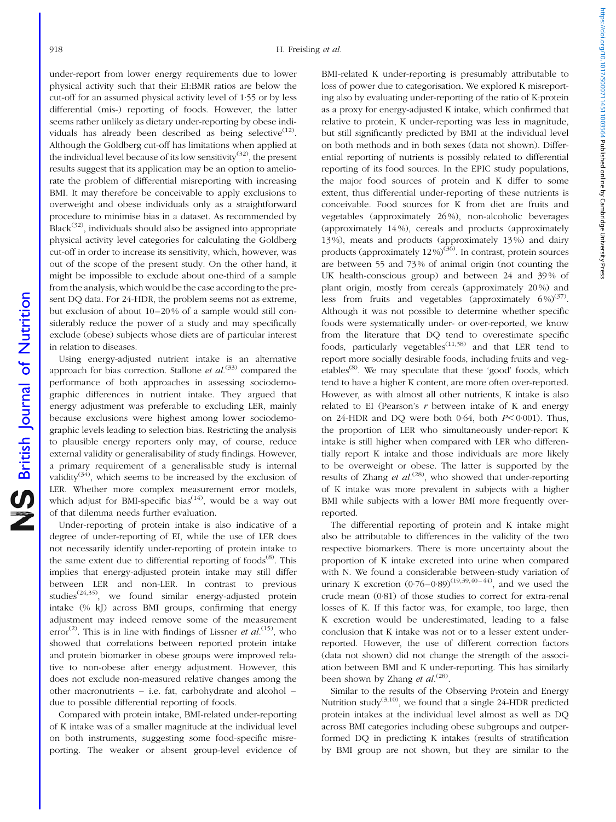under-report from lower energy requirements due to lower physical activity such that their EI:BMR ratios are below the cut-off for an assumed physical activity level of 1·55 or by less differential (mis-) reporting of foods. However, the latter seems rather unlikely as dietary under-reporting by obese individuals has already been described as being selective $(12)$ . Although the Goldberg cut-off has limitations when applied at the individual level because of its low sensitivity<sup>(32)</sup>, the present results suggest that its application may be an option to ameliorate the problem of differential misreporting with increasing BMI. It may therefore be conceivable to apply exclusions to overweight and obese individuals only as a straightforward procedure to minimise bias in a dataset. As recommended by  $Black<sup>(32)</sup>$ , individuals should also be assigned into appropriate physical activity level categories for calculating the Goldberg cut-off in order to increase its sensitivity, which, however, was out of the scope of the present study. On the other hand, it might be impossible to exclude about one-third of a sample from the analysis, which would be the case according to the present DQ data. For 24-HDR, the problem seems not as extreme, but exclusion of about 10–20 % of a sample would still considerably reduce the power of a study and may specifically exclude (obese) subjects whose diets are of particular interest in relation to diseases.

Using energy-adjusted nutrient intake is an alternative approach for bias correction. Stallone *et al.*<sup>(33)</sup> compared the performance of both approaches in assessing sociodemographic differences in nutrient intake. They argued that energy adjustment was preferable to excluding LER, mainly because exclusions were highest among lower sociodemographic levels leading to selection bias. Restricting the analysis to plausible energy reporters only may, of course, reduce external validity or generalisability of study findings. However, a primary requirement of a generalisable study is internal validity<sup>(34)</sup>, which seems to be increased by the exclusion of LER. Whether more complex measurement error models, which adjust for BMI-specific bias<sup> $(14)$ </sup>, would be a way out of that dilemma needs further evaluation.

Under-reporting of protein intake is also indicative of a degree of under-reporting of EI, while the use of LER does not necessarily identify under-reporting of protein intake to the same extent due to differential reporting of foods $^{(8)}$ . This implies that energy-adjusted protein intake may still differ between LER and non-LER. In contrast to previous studies<sup> $(24,35)$ </sup>, we found similar energy-adjusted protein intake (% kJ) across BMI groups, confirming that energy adjustment may indeed remove some of the measurement error<sup>(2)</sup>. This is in line with findings of Lissner *et al.*<sup>(15)</sup>, who showed that correlations between reported protein intake and protein biomarker in obese groups were improved relative to non-obese after energy adjustment. However, this does not exclude non-measured relative changes among the other macronutrients – i.e. fat, carbohydrate and alcohol – due to possible differential reporting of foods.

Compared with protein intake, BMI-related under-reporting of K intake was of a smaller magnitude at the individual level on both instruments, suggesting some food-specific misreporting. The weaker or absent group-level evidence of

BMI-related K under-reporting is presumably attributable to loss of power due to categorisation. We explored K misreporting also by evaluating under-reporting of the ratio of K:protein as a proxy for energy-adjusted K intake, which confirmed that relative to protein, K under-reporting was less in magnitude, but still significantly predicted by BMI at the individual level on both methods and in both sexes (data not shown). Differential reporting of nutrients is possibly related to differential reporting of its food sources. In the EPIC study populations, the major food sources of protein and K differ to some extent, thus differential under-reporting of these nutrients is conceivable. Food sources for K from diet are fruits and vegetables (approximately 26 %), non-alcoholic beverages (approximately 14 %), cereals and products (approximately 13 %), meats and products (approximately 13 %) and dairy products (approximately 12 %)(36). In contrast, protein sources are between 55 and 73 % of animal origin (not counting the UK health-conscious group) and between 24 and 39 % of plant origin, mostly from cereals (approximately 20 %) and less from fruits and vegetables (approximately  $6\%/6^{37}$ ). Although it was not possible to determine whether specific foods were systematically under- or over-reported, we know from the literature that DQ tend to overestimate specific foods, particularly vegetables<sup> $(11,38)$ </sup> and that LER tend to report more socially desirable foods, including fruits and vegetables<sup>(8)</sup>. We may speculate that these 'good' foods, which tend to have a higher K content, are more often over-reported. However, as with almost all other nutrients, K intake is also related to EI (Pearson's  $r$  between intake of K and energy on 24-HDR and DQ were both 0.64, both  $P \le 0.001$ ). Thus, the proportion of LER who simultaneously under-report K intake is still higher when compared with LER who differentially report K intake and those individuals are more likely to be overweight or obese. The latter is supported by the results of Zhang et  $al^{(28)}$ , who showed that under-reporting of K intake was more prevalent in subjects with a higher BMI while subjects with a lower BMI more frequently overreported.

The differential reporting of protein and K intake might also be attributable to differences in the validity of the two respective biomarkers. There is more uncertainty about the proportion of K intake excreted into urine when compared with N. We found a considerable between-study variation of urinary K excretion  $(0.76-0.89)^{(19,39,40-44)}$ , and we used the crude mean (0·81) of those studies to correct for extra-renal losses of K. If this factor was, for example, too large, then K excretion would be underestimated, leading to a false conclusion that K intake was not or to a lesser extent underreported. However, the use of different correction factors (data not shown) did not change the strength of the association between BMI and K under-reporting. This has similarly been shown by Zhang et  $al^{(28)}$ .

Similar to the results of the Observing Protein and Energy Nutrition study<sup>(3,10)</sup>, we found that a single 24-HDR predicted protein intakes at the individual level almost as well as DQ across BMI categories including obese subgroups and outperformed DQ in predicting K intakes (results of stratification by BMI group are not shown, but they are similar to the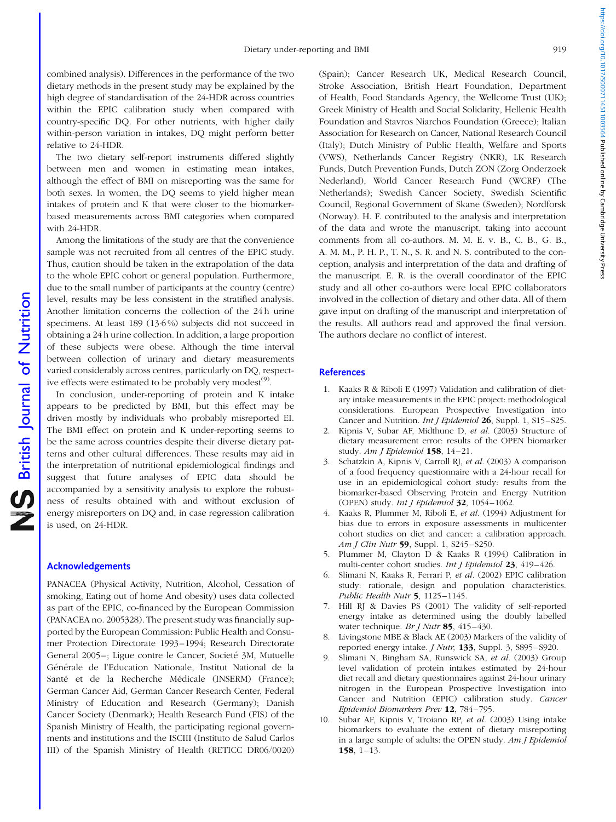combined analysis). Differences in the performance of the two dietary methods in the present study may be explained by the high degree of standardisation of the 24-HDR across countries within the EPIC calibration study when compared with country-specific DQ. For other nutrients, with higher daily within-person variation in intakes, DQ might perform better relative to 24-HDR.

The two dietary self-report instruments differed slightly between men and women in estimating mean intakes, although the effect of BMI on misreporting was the same for both sexes. In women, the DQ seems to yield higher mean intakes of protein and K that were closer to the biomarkerbased measurements across BMI categories when compared with 24-HDR.

Among the limitations of the study are that the convenience sample was not recruited from all centres of the EPIC study. Thus, caution should be taken in the extrapolation of the data to the whole EPIC cohort or general population. Furthermore, due to the small number of participants at the country (centre) level, results may be less consistent in the stratified analysis. Another limitation concerns the collection of the 24 h urine specimens. At least 189 (13·6 %) subjects did not succeed in obtaining a 24 h urine collection. In addition, a large proportion of these subjects were obese. Although the time interval between collection of urinary and dietary measurements varied considerably across centres, particularly on DQ, respective effects were estimated to be probably very modest<sup>(9)</sup>.

In conclusion, under-reporting of protein and K intake appears to be predicted by BMI, but this effect may be driven mostly by individuals who probably misreported EI. The BMI effect on protein and K under-reporting seems to be the same across countries despite their diverse dietary patterns and other cultural differences. These results may aid in the interpretation of nutritional epidemiological findings and suggest that future analyses of EPIC data should be accompanied by a sensitivity analysis to explore the robustness of results obtained with and without exclusion of energy misreporters on DQ and, in case regression calibration is used, on 24-HDR.

#### Acknowledgements

PANACEA (Physical Activity, Nutrition, Alcohol, Cessation of smoking, Eating out of home And obesity) uses data collected as part of the EPIC, co-financed by the European Commission (PANACEA no. 2005328). The present study was financially supported by the European Commission: Public Health and Consumer Protection Directorate 1993–1994; Research Directorate General 2005–; Ligue contre le Cancer, Societé 3M, Mutuelle Générale de l'Education Nationale, Institut National de la Santé et de la Recherche Médicale (INSERM) (France); German Cancer Aid, German Cancer Research Center, Federal Ministry of Education and Research (Germany); Danish Cancer Society (Denmark); Health Research Fund (FIS) of the Spanish Ministry of Health, the participating regional governments and institutions and the ISCIII (Instituto de Salud Carlos III) of the Spanish Ministry of Health (RETICC DR06/0020) (Spain); Cancer Research UK, Medical Research Council, Stroke Association, British Heart Foundation, Department of Health, Food Standards Agency, the Wellcome Trust (UK); Greek Ministry of Health and Social Solidarity, Hellenic Health Foundation and Stavros Niarchos Foundation (Greece); Italian Association for Research on Cancer, National Research Council (Italy); Dutch Ministry of Public Health, Welfare and Sports (VWS), Netherlands Cancer Registry (NKR), LK Research Funds, Dutch Prevention Funds, Dutch ZON (Zorg Onderzoek Nederland), World Cancer Research Fund (WCRF) (The Netherlands); Swedish Cancer Society, Swedish Scientific Council, Regional Government of Skane (Sweden); Nordforsk (Norway). H. F. contributed to the analysis and interpretation of the data and wrote the manuscript, taking into account comments from all co-authors. M. M. E. v. B., C. B., G. B., A. M. M., P. H. P., T. N., S. R. and N. S. contributed to the conception, analysis and interpretation of the data and drafting of the manuscript. E. R. is the overall coordinator of the EPIC study and all other co-authors were local EPIC collaborators involved in the collection of dietary and other data. All of them gave input on drafting of the manuscript and interpretation of the results. All authors read and approved the final version. The authors declare no conflict of interest.

#### **References**

- 1. Kaaks R & Riboli E (1997) Validation and calibration of dietary intake measurements in the EPIC project: methodological considerations. European Prospective Investigation into Cancer and Nutrition. Int J Epidemiol 26, Suppl. 1, S15-S25.
- 2. Kipnis V, Subar AF, Midthune D, et al. (2003) Structure of dietary measurement error: results of the OPEN biomarker study. Am J Epidemiol 158, 14-21.
- 3. Schatzkin A, Kipnis V, Carroll RJ, et al. (2003) A comparison of a food frequency questionnaire with a 24-hour recall for use in an epidemiological cohort study: results from the biomarker-based Observing Protein and Energy Nutrition (OPEN) study. Int J Epidemiol 32, 1054–1062.
- 4. Kaaks R, Plummer M, Riboli E, et al. (1994) Adjustment for bias due to errors in exposure assessments in multicenter cohort studies on diet and cancer: a calibration approach. Am J Clin Nutr 59, Suppl. 1, S245-S250.
- 5. Plummer M, Clayton D & Kaaks R (1994) Calibration in multi-center cohort studies. Int J Epidemiol 23, 419–426.
- 6. Slimani N, Kaaks R, Ferrari P, et al. (2002) EPIC calibration study: rationale, design and population characteristics. Public Health Nutr 5, 1125-1145.
- 7. Hill RJ & Davies PS (2001) The validity of self-reported energy intake as determined using the doubly labelled water technique. Br J Nutr 85, 415–430.
- 8. Livingstone MBE & Black AE (2003) Markers of the validity of reported energy intake. *J Nutr*, **133**, Suppl. 3, S895-S920.
- 9. Slimani N, Bingham SA, Runswick SA, et al. (2003) Group level validation of protein intakes estimated by 24-hour diet recall and dietary questionnaires against 24-hour urinary nitrogen in the European Prospective Investigation into Cancer and Nutrition (EPIC) calibration study. Cancer Epidemiol Biomarkers Prev 12, 784–795.
- 10. Subar AF, Kipnis V, Troiano RP, et al. (2003) Using intake biomarkers to evaluate the extent of dietary misreporting in a large sample of adults: the OPEN study. Am J Epidemiol 158,  $1-13$ .

https://doi.org/10.1017/50007114511003564 Published online by Cambridge University Press https://doi.org/10.1017/S0007114511003564 Published online by Cambridge University Press